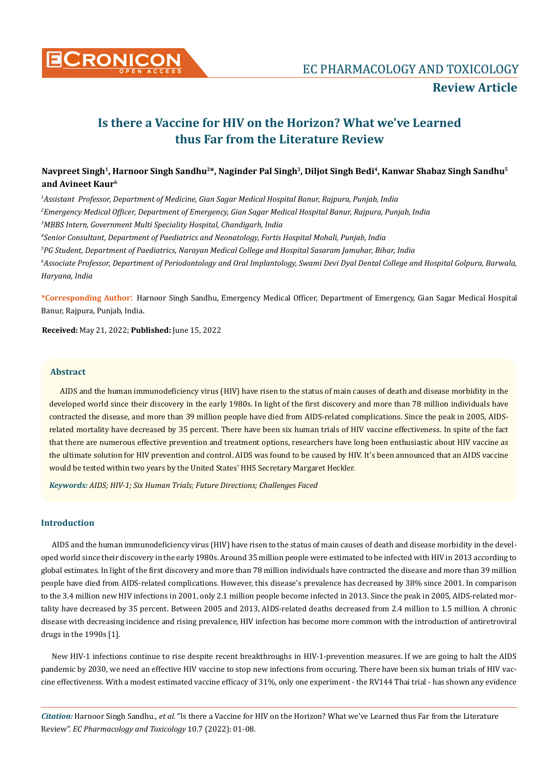

# **Is there a Vaccine for HIV on the Horizon? What we've Learned thus Far from the Literature Review**

## Navpreet Singh<sup>1</sup>, Harnoor Singh Sandhu<sup>2\*</sup>, Naginder Pal Singh<sup>3</sup>, Diljot Singh Bedi<sup>4</sup>, Kanwar Shabaz Singh Sandhu<sup>5</sup> **and Avineet Kaur6**

 *Assistant Professor, Department of Medicine, Gian Sagar Medical Hospital Banur, Rajpura, Punjab, India Emergency Medical Officer, Department of Emergency, Gian Sagar Medical Hospital Banur, Rajpura, Punjab, India MBBS Intern, Government Multi Speciality Hospital, Chandigarh, India Senior Consultant, Department of Paediatrics and Neonatology, Fortis Hospital Mohali, Punjab, India PG Student, Department of Paediatrics, Narayan Medical College and Hospital Sasaram Jamuhar, Bihar, India Associate Professor, Department of Periodontology and Oral Implantology, Swami Devi Dyal Dental College and Hospital Golpura, Barwala, Haryana, India*

**\*Corresponding Author**: Harnoor Singh Sandhu, Emergency Medical Officer, Department of Emergency, Gian Sagar Medical Hospital Banur, Rajpura, Punjab, India.

**Received:** May 21, 2022; **Published:** June 15, 2022

## **Abstract**

AIDS and the human immunodeficiency virus (HIV) have risen to the status of main causes of death and disease morbidity in the developed world since their discovery in the early 1980s. In light of the first discovery and more than 78 million individuals have contracted the disease, and more than 39 million people have died from AIDS-related complications. Since the peak in 2005, AIDSrelated mortality have decreased by 35 percent. There have been six human trials of HIV vaccine effectiveness. In spite of the fact that there are numerous effective prevention and treatment options, researchers have long been enthusiastic about HIV vaccine as the ultimate solution for HIV prevention and control. AIDS was found to be caused by HIV. It's been announced that an AIDS vaccine would be tested within two years by the United States' HHS Secretary Margaret Heckler.

*Keywords: AIDS; HIV-1; Six Human Trials; Future Directions; Challenges Faced* 

## **Introduction**

AIDS and the human immunodeficiency virus (HIV) have risen to the status of main causes of death and disease morbidity in the developed world since their discovery in the early 1980s. Around 35 million people were estimated to be infected with HIV in 2013 according to global estimates. In light of the first discovery and more than 78 million individuals have contracted the disease and more than 39 million people have died from AIDS-related complications. However, this disease's prevalence has decreased by 38% since 2001. In comparison to the 3.4 million new HIV infections in 2001, only 2.1 million people become infected in 2013. Since the peak in 2005, AIDS-related mortality have decreased by 35 percent. Between 2005 and 2013, AIDS-related deaths decreased from 2.4 million to 1.5 million. A chronic disease with decreasing incidence and rising prevalence, HIV infection has become more common with the introduction of antiretroviral drugs in the 1990s [1].

New HIV-1 infections continue to rise despite recent breakthroughs in HIV-1-prevention measures. If we are going to halt the AIDS pandemic by 2030, we need an effective HIV vaccine to stop new infections from occuring. There have been six human trials of HIV vaccine effectiveness. With a modest estimated vaccine efficacy of 31%, only one experiment - the RV144 Thai trial - has shown any evidence

*Citation:* Harnoor Singh Sandhu., *et al.* "Is there a Vaccine for HIV on the Horizon? What we've Learned thus Far from the Literature Review". *EC Pharmacology and Toxicology* 10.7 (2022): 01-08.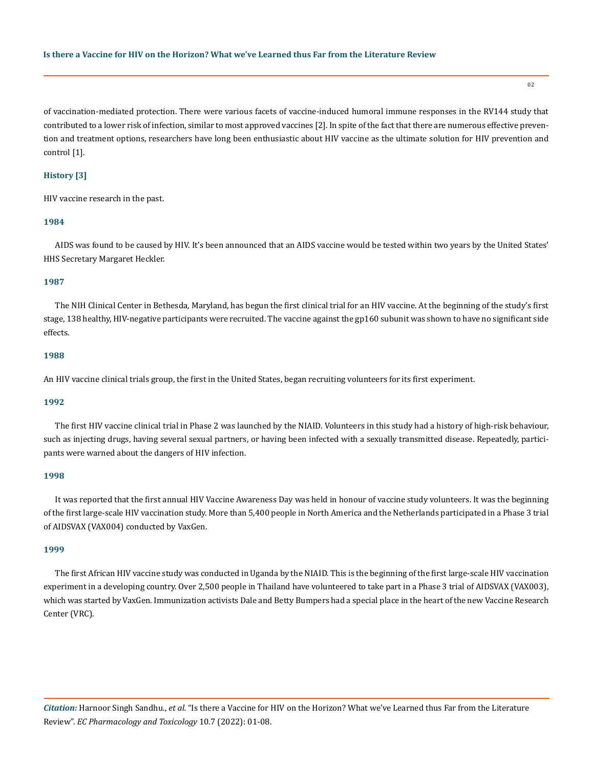02

of vaccination-mediated protection. There were various facets of vaccine-induced humoral immune responses in the RV144 study that contributed to a lower risk of infection, similar to most approved vaccines [2]. In spite of the fact that there are numerous effective prevention and treatment options, researchers have long been enthusiastic about HIV vaccine as the ultimate solution for HIV prevention and control [1].

## **History [3]**

HIV vaccine research in the past.

#### **1984**

AIDS was found to be caused by HIV. It's been announced that an AIDS vaccine would be tested within two years by the United States' HHS Secretary Margaret Heckler.

#### **1987**

The NIH Clinical Center in Bethesda, Maryland, has begun the first clinical trial for an HIV vaccine. At the beginning of the study's first stage, 138 healthy, HIV-negative participants were recruited. The vaccine against the gp160 subunit was shown to have no significant side effects.

#### **1988**

An HIV vaccine clinical trials group, the first in the United States, began recruiting volunteers for its first experiment.

#### **1992**

The first HIV vaccine clinical trial in Phase 2 was launched by the NIAID. Volunteers in this study had a history of high-risk behaviour, such as injecting drugs, having several sexual partners, or having been infected with a sexually transmitted disease. Repeatedly, participants were warned about the dangers of HIV infection.

#### **1998**

It was reported that the first annual HIV Vaccine Awareness Day was held in honour of vaccine study volunteers. It was the beginning of the first large-scale HIV vaccination study. More than 5,400 people in North America and the Netherlands participated in a Phase 3 trial of AIDSVAX (VAX004) conducted by VaxGen.

#### **1999**

The first African HIV vaccine study was conducted in Uganda by the NIAID. This is the beginning of the first large-scale HIV vaccination experiment in a developing country. Over 2,500 people in Thailand have volunteered to take part in a Phase 3 trial of AIDSVAX (VAX003), which was started by VaxGen. Immunization activists Dale and Betty Bumpers had a special place in the heart of the new Vaccine Research Center (VRC).

*Citation:* Harnoor Singh Sandhu., *et al.* "Is there a Vaccine for HIV on the Horizon? What we've Learned thus Far from the Literature Review". *EC Pharmacology and Toxicology* 10.7 (2022): 01-08.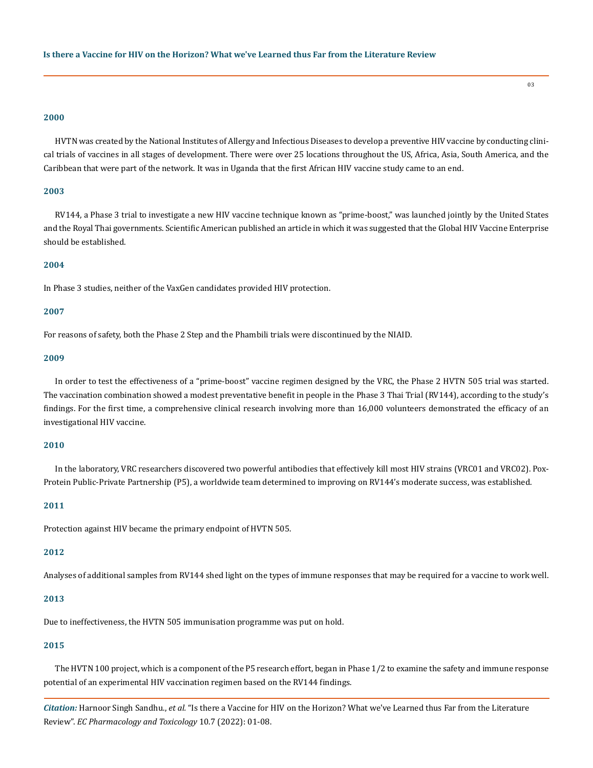#### **2000**

HVTN was created by the National Institutes of Allergy and Infectious Diseases to develop a preventive HIV vaccine by conducting clinical trials of vaccines in all stages of development. There were over 25 locations throughout the US, Africa, Asia, South America, and the Caribbean that were part of the network. It was in Uganda that the first African HIV vaccine study came to an end.

## **2003**

RV144, a Phase 3 trial to investigate a new HIV vaccine technique known as "prime-boost," was launched jointly by the United States and the Royal Thai governments. Scientific American published an article in which it was suggested that the Global HIV Vaccine Enterprise should be established.

## **2004**

In Phase 3 studies, neither of the VaxGen candidates provided HIV protection.

#### **2007**

For reasons of safety, both the Phase 2 Step and the Phambili trials were discontinued by the NIAID.

#### **2009**

In order to test the effectiveness of a "prime-boost" vaccine regimen designed by the VRC, the Phase 2 HVTN 505 trial was started. The vaccination combination showed a modest preventative benefit in people in the Phase 3 Thai Trial (RV144), according to the study's findings. For the first time, a comprehensive clinical research involving more than 16,000 volunteers demonstrated the efficacy of an investigational HIV vaccine.

## **2010**

In the laboratory, VRC researchers discovered two powerful antibodies that effectively kill most HIV strains (VRC01 and VRC02). Pox-Protein Public-Private Partnership (P5), a worldwide team determined to improving on RV144's moderate success, was established.

#### **2011**

Protection against HIV became the primary endpoint of HVTN 505.

#### **2012**

Analyses of additional samples from RV144 shed light on the types of immune responses that may be required for a vaccine to work well.

## **2013**

Due to ineffectiveness, the HVTN 505 immunisation programme was put on hold.

## **2015**

The HVTN 100 project, which is a component of the P5 research effort, began in Phase 1/2 to examine the safety and immune response potential of an experimental HIV vaccination regimen based on the RV144 findings.

*Citation:* Harnoor Singh Sandhu., *et al.* "Is there a Vaccine for HIV on the Horizon? What we've Learned thus Far from the Literature Review". *EC Pharmacology and Toxicology* 10.7 (2022): 01-08.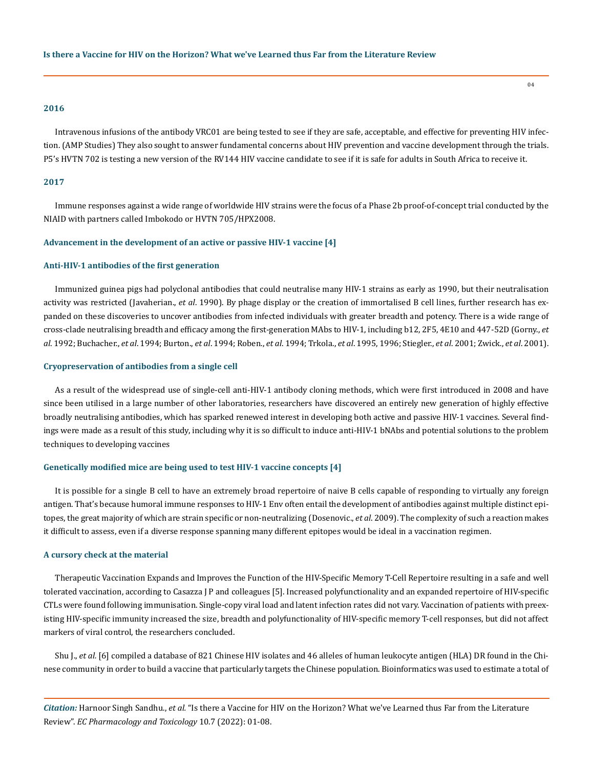#### **2016**

Intravenous infusions of the antibody VRC01 are being tested to see if they are safe, acceptable, and effective for preventing HIV infection. (AMP Studies) They also sought to answer fundamental concerns about HIV prevention and vaccine development through the trials. P5's HVTN 702 is testing a new version of the RV144 HIV vaccine candidate to see if it is safe for adults in South Africa to receive it.

## **2017**

Immune responses against a wide range of worldwide HIV strains were the focus of a Phase 2b proof-of-concept trial conducted by the NIAID with partners called Imbokodo or HVTN 705/HPX2008.

#### **Advancement in the development of an active or passive HIV-1 vaccine [4]**

#### **Anti-HIV-1 antibodies of the first generation**

Immunized guinea pigs had polyclonal antibodies that could neutralise many HIV-1 strains as early as 1990, but their neutralisation activity was restricted (Javaherian., *et al*. 1990). By phage display or the creation of immortalised B cell lines, further research has expanded on these discoveries to uncover antibodies from infected individuals with greater breadth and potency. There is a wide range of cross-clade neutralising breadth and efficacy among the first-generation MAbs to HIV-1, including b12, 2F5, 4E10 and 447-52D (Gorny., *et al*. 1992; Buchacher., *et al*. 1994; Burton., *et al*. 1994; Roben., *et al*. 1994; Trkola., *et al*. 1995, 1996; Stiegler., *et al*. 2001; Zwick., *et al*. 2001).

## **Cryopreservation of antibodies from a single cell**

As a result of the widespread use of single-cell anti-HIV-1 antibody cloning methods, which were first introduced in 2008 and have since been utilised in a large number of other laboratories, researchers have discovered an entirely new generation of highly effective broadly neutralising antibodies, which has sparked renewed interest in developing both active and passive HIV-1 vaccines. Several findings were made as a result of this study, including why it is so difficult to induce anti-HIV-1 bNAbs and potential solutions to the problem techniques to developing vaccines

#### **Genetically modified mice are being used to test HIV-1 vaccine concepts [4]**

It is possible for a single B cell to have an extremely broad repertoire of naive B cells capable of responding to virtually any foreign antigen. That's because humoral immune responses to HIV-1 Env often entail the development of antibodies against multiple distinct epitopes, the great majority of which are strain specific or non-neutralizing (Dosenovic., *et al*. 2009). The complexity of such a reaction makes it difficult to assess, even if a diverse response spanning many different epitopes would be ideal in a vaccination regimen.

#### **A cursory check at the material**

Therapeutic Vaccination Expands and Improves the Function of the HIV-Specific Memory T-Cell Repertoire resulting in a safe and well tolerated vaccination, according to Casazza J P and colleagues [5]. Increased polyfunctionality and an expanded repertoire of HIV-specific CTLs were found following immunisation. Single-copy viral load and latent infection rates did not vary. Vaccination of patients with preexisting HIV-specific immunity increased the size, breadth and polyfunctionality of HIV-specific memory T-cell responses, but did not affect markers of viral control, the researchers concluded.

Shu J., et al. [6] compiled a database of 821 Chinese HIV isolates and 46 alleles of human leukocyte antigen (HLA) DR found in the Chinese community in order to build a vaccine that particularly targets the Chinese population. Bioinformatics was used to estimate a total of

*Citation:* Harnoor Singh Sandhu., *et al.* "Is there a Vaccine for HIV on the Horizon? What we've Learned thus Far from the Literature Review". *EC Pharmacology and Toxicology* 10.7 (2022): 01-08.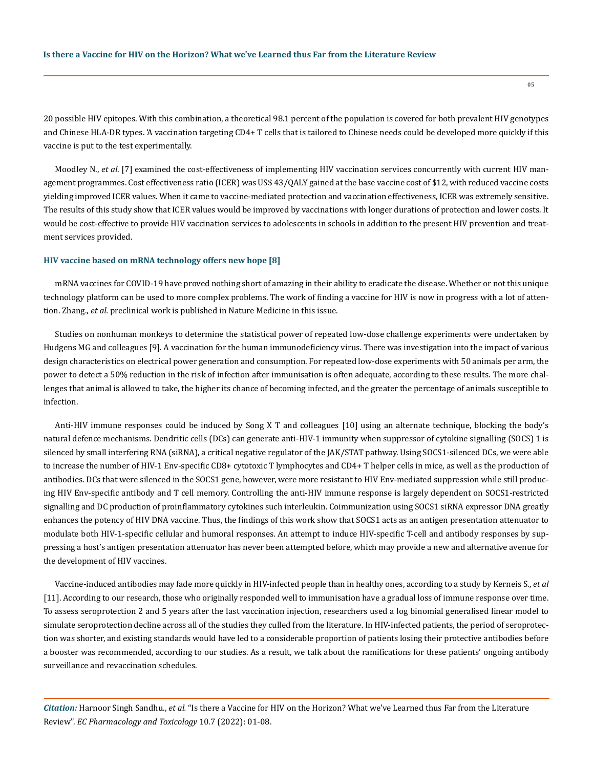20 possible HIV epitopes. With this combination, a theoretical 98.1 percent of the population is covered for both prevalent HIV genotypes and Chinese HLA-DR types. 'A vaccination targeting CD4+ T cells that is tailored to Chinese needs could be developed more quickly if this vaccine is put to the test experimentally.

Moodley N., *et al*. [7] examined the cost-effectiveness of implementing HIV vaccination services concurrently with current HIV management programmes. Cost effectiveness ratio (ICER) was US\$ 43/QALY gained at the base vaccine cost of \$12, with reduced vaccine costs yielding improved ICER values. When it came to vaccine-mediated protection and vaccination effectiveness, ICER was extremely sensitive. The results of this study show that ICER values would be improved by vaccinations with longer durations of protection and lower costs. It would be cost-effective to provide HIV vaccination services to adolescents in schools in addition to the present HIV prevention and treatment services provided.

## **HIV vaccine based on mRNA technology offers new hope [8]**

mRNA vaccines for COVID-19 have proved nothing short of amazing in their ability to eradicate the disease. Whether or not this unique technology platform can be used to more complex problems. The work of finding a vaccine for HIV is now in progress with a lot of attention. Zhang., *et al.* preclinical work is published in Nature Medicine in this issue.

Studies on nonhuman monkeys to determine the statistical power of repeated low-dose challenge experiments were undertaken by Hudgens MG and colleagues [9]. A vaccination for the human immunodeficiency virus. There was investigation into the impact of various design characteristics on electrical power generation and consumption. For repeated low-dose experiments with 50 animals per arm, the power to detect a 50% reduction in the risk of infection after immunisation is often adequate, according to these results. The more challenges that animal is allowed to take, the higher its chance of becoming infected, and the greater the percentage of animals susceptible to infection.

Anti-HIV immune responses could be induced by Song X T and colleagues [10] using an alternate technique, blocking the body's natural defence mechanisms. Dendritic cells (DCs) can generate anti-HIV-1 immunity when suppressor of cytokine signalling (SOCS) 1 is silenced by small interfering RNA (siRNA), a critical negative regulator of the JAK/STAT pathway. Using SOCS1-silenced DCs, we were able to increase the number of HIV-1 Env-specific CD8+ cytotoxic T lymphocytes and CD4+ T helper cells in mice, as well as the production of antibodies. DCs that were silenced in the SOCS1 gene, however, were more resistant to HIV Env-mediated suppression while still producing HIV Env-specific antibody and T cell memory. Controlling the anti-HIV immune response is largely dependent on SOCS1-restricted signalling and DC production of proinflammatory cytokines such interleukin. Coimmunization using SOCS1 siRNA expressor DNA greatly enhances the potency of HIV DNA vaccine. Thus, the findings of this work show that SOCS1 acts as an antigen presentation attenuator to modulate both HIV-1-specific cellular and humoral responses. An attempt to induce HIV-specific T-cell and antibody responses by suppressing a host's antigen presentation attenuator has never been attempted before, which may provide a new and alternative avenue for the development of HIV vaccines.

Vaccine-induced antibodies may fade more quickly in HIV-infected people than in healthy ones, according to a study by Kerneis S., *et al*  [11]. According to our research, those who originally responded well to immunisation have a gradual loss of immune response over time. To assess seroprotection 2 and 5 years after the last vaccination injection, researchers used a log binomial generalised linear model to simulate seroprotection decline across all of the studies they culled from the literature. In HIV-infected patients, the period of seroprotection was shorter, and existing standards would have led to a considerable proportion of patients losing their protective antibodies before a booster was recommended, according to our studies. As a result, we talk about the ramifications for these patients' ongoing antibody surveillance and revaccination schedules.

*Citation:* Harnoor Singh Sandhu., *et al.* "Is there a Vaccine for HIV on the Horizon? What we've Learned thus Far from the Literature Review". *EC Pharmacology and Toxicology* 10.7 (2022): 01-08.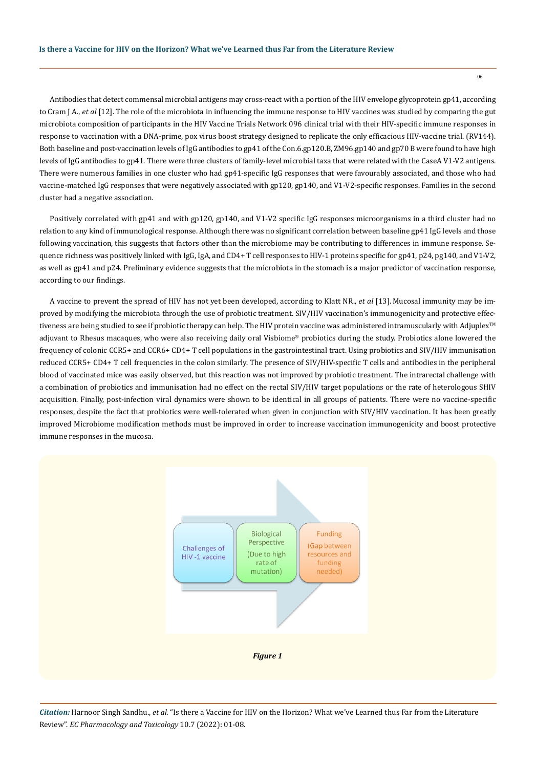Antibodies that detect commensal microbial antigens may cross-react with a portion of the HIV envelope glycoprotein gp41, according to Cram J A., *et al* [12]. The role of the microbiota in influencing the immune response to HIV vaccines was studied by comparing the gut microbiota composition of participants in the HIV Vaccine Trials Network 096 clinical trial with their HIV-specific immune responses in response to vaccination with a DNA-prime, pox virus boost strategy designed to replicate the only efficacious HIV-vaccine trial. (RV144). Both baseline and post-vaccination levels of IgG antibodies to gp41 of the Con.6.gp120.B, ZM96.gp140 and gp70 B were found to have high levels of IgG antibodies to gp41. There were three clusters of family-level microbial taxa that were related with the CaseA V1-V2 antigens. There were numerous families in one cluster who had gp41-specific IgG responses that were favourably associated, and those who had vaccine-matched IgG responses that were negatively associated with gp120, gp140, and V1-V2-specific responses. Families in the second cluster had a negative association.

Positively correlated with gp41 and with gp120, gp140, and V1-V2 specific IgG responses microorganisms in a third cluster had no relation to any kind of immunological response. Although there was no significant correlation between baseline gp41 IgG levels and those following vaccination, this suggests that factors other than the microbiome may be contributing to differences in immune response. Sequence richness was positively linked with IgG, IgA, and CD4+ T cell responses to HIV-1 proteins specific for gp41, p24, pg140, and V1-V2, as well as gp41 and p24. Preliminary evidence suggests that the microbiota in the stomach is a major predictor of vaccination response, according to our findings.

A vaccine to prevent the spread of HIV has not yet been developed, according to Klatt NR., *et al* [13]. Mucosal immunity may be improved by modifying the microbiota through the use of probiotic treatment. SIV/HIV vaccination's immunogenicity and protective effectiveness are being studied to see if probiotic therapy can help. The HIV protein vaccine was administered intramuscularly with Adjuplex™ adjuvant to Rhesus macaques, who were also receiving daily oral Visbiome® probiotics during the study. Probiotics alone lowered the frequency of colonic CCR5+ and CCR6+ CD4+ T cell populations in the gastrointestinal tract. Using probiotics and SIV/HIV immunisation reduced CCR5+ CD4+ T cell frequencies in the colon similarly. The presence of SIV/HIV-specific T cells and antibodies in the peripheral blood of vaccinated mice was easily observed, but this reaction was not improved by probiotic treatment. The intrarectal challenge with a combination of probiotics and immunisation had no effect on the rectal SIV/HIV target populations or the rate of heterologous SHIV acquisition. Finally, post-infection viral dynamics were shown to be identical in all groups of patients. There were no vaccine-specific responses, despite the fact that probiotics were well-tolerated when given in conjunction with SIV/HIV vaccination. It has been greatly improved Microbiome modification methods must be improved in order to increase vaccination immunogenicity and boost protective immune responses in the mucosa.



*Citation:* Harnoor Singh Sandhu., *et al.* "Is there a Vaccine for HIV on the Horizon? What we've Learned thus Far from the Literature Review". *EC Pharmacology and Toxicology* 10.7 (2022): 01-08.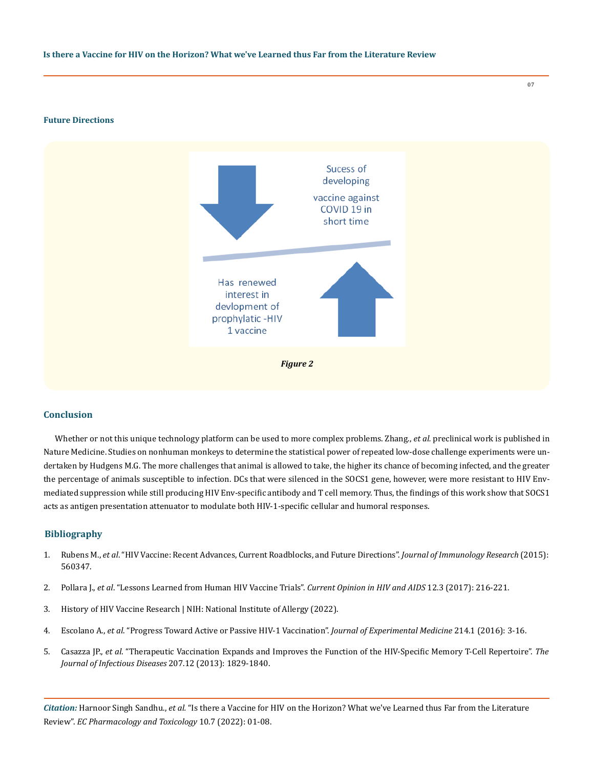#### **Future Directions**



## **Conclusion**

Whether or not this unique technology platform can be used to more complex problems. Zhang., *et al.* preclinical work is published in Nature Medicine. Studies on nonhuman monkeys to determine the statistical power of repeated low-dose challenge experiments were undertaken by Hudgens M.G. The more challenges that animal is allowed to take, the higher its chance of becoming infected, and the greater the percentage of animals susceptible to infection. DCs that were silenced in the SOCS1 gene, however, were more resistant to HIV Envmediated suppression while still producing HIV Env-specific antibody and T cell memory. Thus, the findings of this work show that SOCS1 acts as antigen presentation attenuator to modulate both HIV-1-specific cellular and humoral responses.

## **Bibliography**

- 1. Rubens M., *et al*[. "HIV Vaccine: Recent Advances, Current Roadblocks, and Future Directions".](https://pubmed.ncbi.nlm.nih.gov/26579546/) *Journal of Immunology Research* (2015): [560347.](https://pubmed.ncbi.nlm.nih.gov/26579546/)
- 2. Pollara J., *et al*[. "Lessons Learned from Human HIV Vaccine Trials".](https://pubmed.ncbi.nlm.nih.gov/28230655/) *Current Opinion in HIV and AIDS* 12.3 (2017): 216-221.
- 3. [History of HIV Vaccine Research | NIH: National Institute of Allergy \(2022\).](https://www.niaid.nih.gov/diseases-conditions/hiv-vaccine-research-history)
- 4. Escolano A., *et al*[. "Progress Toward Active or Passive HIV-1 Vaccination".](https://pubmed.ncbi.nlm.nih.gov/28003309/) *Journal of Experimental Medicine* 214.1 (2016): 3-16.
- 5. Casazza JP., *et al*[. "Therapeutic Vaccination Expands and Improves the Function of the HIV-Specific Memory T-Cell Repertoire".](https://pubmed.ncbi.nlm.nih.gov/23482645/) *The [Journal of Infectious Diseases](https://pubmed.ncbi.nlm.nih.gov/23482645/)* 207.12 (2013): 1829-1840.

*Citation:* Harnoor Singh Sandhu., *et al.* "Is there a Vaccine for HIV on the Horizon? What we've Learned thus Far from the Literature Review". *EC Pharmacology and Toxicology* 10.7 (2022): 01-08.